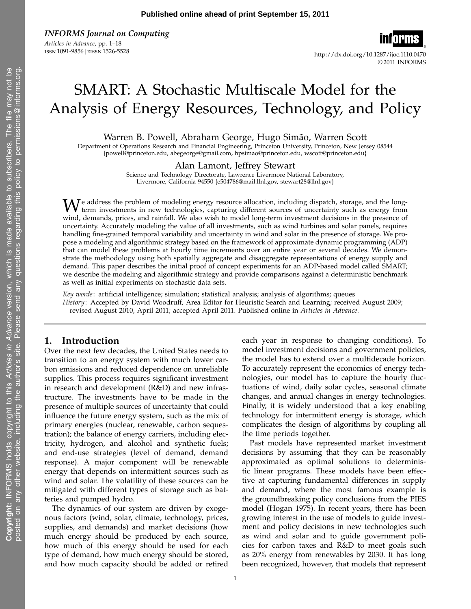INFORMS Journal on Computing Articles in Advance, pp. 1–18

issn1091-9856 eissn1526-5528 http://dx.doi.org/10.1287/ijoc.1110.0470 © 2011 INFORMS

# SMART: A Stochastic Multiscale Model for the Analysis of Energy Resources, Technology, and Policy

Warren B. Powell, Abraham George, Hugo Simão, Warren Scott

Department of Operations Research and Financial Engineering, Princeton University, Princeton, New Jersey 08544 {powell@princeton.edu, abegeorge@gmail.com, hpsimao@princeton.edu, wscott@princeton.edu}

Alan Lamont, Jeffrey Stewart

Science and Technology Directorate, Lawrence Livermore National Laboratory, Livermore, California 94550 {e504786@mail.llnl.gov, stewart28@llnl.gov}

We address the problem of modeling energy resource allocation, including dispatch, storage, and the long-<br>term investments in new technologies, capturing different sources of uncertainty such as energy from wind, demands, prices, and rainfall. We also wish to model long-term investment decisions in the presence of uncertainty. Accurately modeling the value of all investments, such as wind turbines and solar panels, requires handling fine-grained temporal variability and uncertainty in wind and solar in the presence of storage. We propose a modeling and algorithmic strategy based on the framework of approximate dynamic programming (ADP) that can model these problems at hourly time increments over an entire year or several decades. We demonstrate the methodology using both spatially aggregate and disaggregate representations of energy supply and demand. This paper describes the initial proof of concept experiments for an ADP-based model called SMART; we describe the modeling and algorithmic strategy and provide comparisons against a deterministic benchmark as well as initial experiments on stochastic data sets.

Key words: artificial intelligence; simulation; statistical analysis; analysis of algorithms; queues History: Accepted by David Woodruff, Area Editor for Heuristic Search and Learning; received August 2009; revised August 2010, April 2011; accepted April 2011. Published online in Articles in Advance.

# 1. Introduction

Over the next few decades, the United States needs to transition to an energy system with much lower carbon emissions and reduced dependence on unreliable supplies. This process requires significant investment in research and development (R&D) and new infrastructure. The investments have to be made in the presence of multiple sources of uncertainty that could influence the future energy system, such as the mix of primary energies (nuclear, renewable, carbon sequestration); the balance of energy carriers, including electricity, hydrogen, and alcohol and synthetic fuels; and end-use strategies (level of demand, demand response). A major component will be renewable energy that depends on intermittent sources such as wind and solar. The volatility of these sources can be mitigated with different types of storage such as batteries and pumped hydro.

The dynamics of our system are driven by exogenous factors (wind, solar, climate, technology, prices, supplies, and demands) and market decisions (how much energy should be produced by each source, how much of this energy should be used for each type of demand, how much energy should be stored, and how much capacity should be added or retired each year in response to changing conditions). To model investment decisions and government policies, the model has to extend over a multidecade horizon. To accurately represent the economics of energy technologies, our model has to capture the hourly fluctuations of wind, daily solar cycles, seasonal climate changes, and annual changes in energy technologies. Finally, it is widely understood that a key enabling technology for intermittent energy is storage, which complicates the design of algorithms by coupling all the time periods together.

Past models have represented market investment decisions by assuming that they can be reasonably approximated as optimal solutions to deterministic linear programs. These models have been effective at capturing fundamental differences in supply and demand, where the most famous example is the groundbreaking policy conclusions from the PIES model (Hogan 1975). In recent years, there has been growing interest in the use of models to guide investment and policy decisions in new technologies such as wind and solar and to guide government policies for carbon taxes and R&D to meet goals such as 20% energy from renewables by 2030. It has long been recognized, however, that models that represent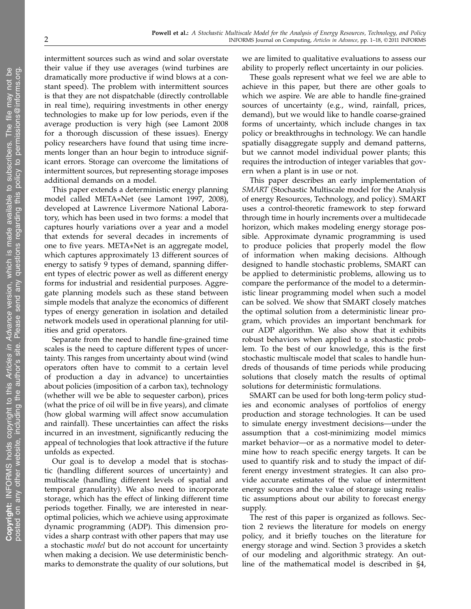intermittent sources such as wind and solar overstate their value if they use averages (wind turbines are dramatically more productive if wind blows at a constant speed). The problem with intermittent sources is that they are not dispatchable (directly controllable in real time), requiring investments in other energy technologies to make up for low periods, even if the average production is very high (see Lamont 2008 for a thorough discussion of these issues). Energy policy researchers have found that using time increments longer than an hour begin to introduce significant errors. Storage can overcome the limitations of intermittent sources, but representing storage imposes additional demands on a model.

This paper extends a deterministic energy planning model called META∗Net (see Lamont 1997, 2008), developed at Lawrence Livermore National Laboratory, which has been used in two forms: a model that captures hourly variations over a year and a model that extends for several decades in increments of one to five years. META∗Net is an aggregate model, which captures approximately 13 different sources of energy to satisfy 9 types of demand, spanning different types of electric power as well as different energy forms for industrial and residential purposes. Aggregate planning models such as these stand between simple models that analyze the economics of different types of energy generation in isolation and detailed network models used in operational planning for utilities and grid operators.

Separate from the need to handle fine-grained time scales is the need to capture different types of uncertainty. This ranges from uncertainty about wind (wind operators often have to commit to a certain level of production a day in advance) to uncertainties about policies (imposition of a carbon tax), technology (whether will we be able to sequester carbon), prices (what the price of oil will be in five years), and climate (how global warming will affect snow accumulation and rainfall). These uncertainties can affect the risks incurred in an investment, significantly reducing the appeal of technologies that look attractive if the future unfolds as expected.

Our goal is to develop a model that is stochastic (handling different sources of uncertainty) and multiscale (handling different levels of spatial and temporal granularity). We also need to incorporate storage, which has the effect of linking different time periods together. Finally, we are interested in nearoptimal policies, which we achieve using approximate dynamic programming (ADP). This dimension provides a sharp contrast with other papers that may use a stochastic model but do not account for uncertainty when making a decision. We use deterministic benchmarks to demonstrate the quality of our solutions, but

we are limited to qualitative evaluations to assess our ability to properly reflect uncertainty in our policies.

These goals represent what we feel we are able to achieve in this paper, but there are other goals to which we aspire. We are able to handle fine-grained sources of uncertainty (e.g., wind, rainfall, prices, demand), but we would like to handle coarse-grained forms of uncertainty, which include changes in tax policy or breakthroughs in technology. We can handle spatially disaggregate supply and demand patterns, but we cannot model individual power plants; this requires the introduction of integer variables that govern when a plant is in use or not.

This paper describes an early implementation of SMART (Stochastic Multiscale model for the Analysis of energy Resources, Technology, and policy). SMART uses a control-theoretic framework to step forward through time in hourly increments over a multidecade horizon, which makes modeling energy storage possible. Approximate dynamic programming is used to produce policies that properly model the flow of information when making decisions. Although designed to handle stochastic problems, SMART can be applied to deterministic problems, allowing us to compare the performance of the model to a deterministic linear programming model when such a model can be solved. We show that SMART closely matches the optimal solution from a deterministic linear program, which provides an important benchmark for our ADP algorithm. We also show that it exhibits robust behaviors when applied to a stochastic problem. To the best of our knowledge, this is the first stochastic multiscale model that scales to handle hundreds of thousands of time periods while producing solutions that closely match the results of optimal solutions for deterministic formulations.

SMART can be used for both long-term policy studies and economic analyses of portfolios of energy production and storage technologies. It can be used to simulate energy investment decisions—under the assumption that a cost-minimizing model mimics market behavior—or as a normative model to determine how to reach specific energy targets. It can be used to quantify risk and to study the impact of different energy investment strategies. It can also provide accurate estimates of the value of intermittent energy sources and the value of storage using realistic assumptions about our ability to forecast energy supply.

The rest of this paper is organized as follows. Section 2 reviews the literature for models on energy policy, and it briefly touches on the literature for energy storage and wind. Section 3 provides a sketch of our modeling and algorithmic strategy. An outline of the mathematical model is described in §4,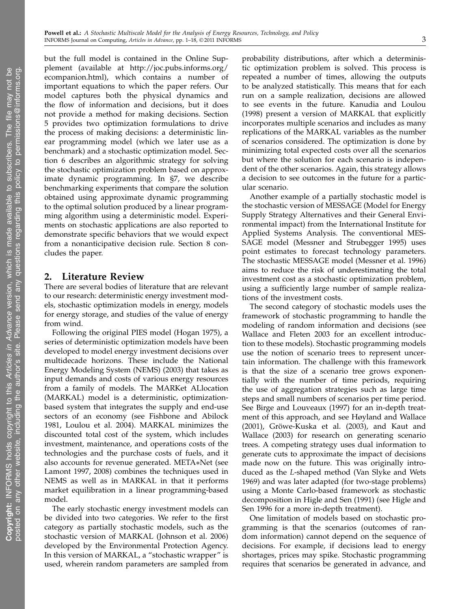but the full model is contained in the Online Supplement (available at http://joc.pubs.informs.org/ ecompanion.html), which contains a number of important equations to which the paper refers. Our model captures both the physical dynamics and the flow of information and decisions, but it does not provide a method for making decisions. Section 5 provides two optimization formulations to drive the process of making decisions: a deterministic linear programming model (which we later use as a benchmark) and a stochastic optimization model. Section 6 describes an algorithmic strategy for solving the stochastic optimization problem based on approximate dynamic programming. In §7, we describe benchmarking experiments that compare the solution obtained using approximate dynamic programming to the optimal solution produced by a linear programming algorithm using a deterministic model. Experiments on stochastic applications are also reported to demonstrate specific behaviors that we would expect from a nonanticipative decision rule. Section 8 concludes the paper.

# 2. Literature Review

There are several bodies of literature that are relevant to our research: deterministic energy investment models, stochastic optimization models in energy, models for energy storage, and studies of the value of energy from wind.

Following the original PIES model (Hogan 1975), a series of deterministic optimization models have been developed to model energy investment decisions over multidecade horizons. These include the National Energy Modeling System (NEMS) (2003) that takes as input demands and costs of various energy resources from a family of models. The MARKet ALlocation (MARKAL) model is a deterministic, optimizationbased system that integrates the supply and end-use sectors of an economy (see Fishbone and Abilock 1981, Loulou et al. 2004). MARKAL minimizes the discounted total cost of the system, which includes investment, maintenance, and operations costs of the technologies and the purchase costs of fuels, and it also accounts for revenue generated. META∗Net (see Lamont 1997, 2008) combines the techniques used in NEMS as well as in MARKAL in that it performs market equilibration in a linear programming-based model.

The early stochastic energy investment models can be divided into two categories. We refer to the first category as partially stochastic models, such as the stochastic version of MARKAL (Johnson et al. 2006) developed by the Environmental Protection Agency. In this version of MARKAL, a "stochastic wrapper" is used, wherein random parameters are sampled from probability distributions, after which a deterministic optimization problem is solved. This process is repeated a number of times, allowing the outputs to be analyzed statistically. This means that for each run on a sample realization, decisions are allowed to see events in the future. Kanudia and Loulou (1998) present a version of MARKAL that explicitly incorporates multiple scenarios and includes as many replications of the MARKAL variables as the number of scenarios considered. The optimization is done by minimizing total expected costs over all the scenarios but where the solution for each scenario is independent of the other scenarios. Again, this strategy allows a decision to see outcomes in the future for a particular scenario.

Another example of a partially stochastic model is the stochastic version of MESSAGE (Model for Energy Supply Strategy Alternatives and their General Environmental impact) from the International Institute for Applied Systems Analysis. The conventional MES-SAGE model (Messner and Strubegger 1995) uses point estimates to forecast technology parameters. The stochastic MESSAGE model (Messner et al. 1996) aims to reduce the risk of underestimating the total investment cost as a stochastic optimization problem, using a sufficiently large number of sample realizations of the investment costs.

The second category of stochastic models uses the framework of stochastic programming to handle the modeling of random information and decisions (see Wallace and Fleten 2003 for an excellent introduction to these models). Stochastic programming models use the notion of scenario trees to represent uncertain information. The challenge with this framework is that the size of a scenario tree grows exponentially with the number of time periods, requiring the use of aggregation strategies such as large time steps and small numbers of scenarios per time period. See Birge and Louveaux (1997) for an in-depth treatment of this approach, and see Høyland and Wallace (2001), Gröwe-Kuska et al. (2003), and Kaut and Wallace (2003) for research on generating scenario trees. A competing strategy uses dual information to generate cuts to approximate the impact of decisions made now on the future. This was originally introduced as the L-shaped method (Van Slyke and Wets 1969) and was later adapted (for two-stage problems) using a Monte Carlo-based framework as stochastic decomposition in Higle and Sen (1991) (see Higle and Sen 1996 for a more in-depth treatment).

One limitation of models based on stochastic programming is that the scenarios (outcomes of random information) cannot depend on the sequence of decisions. For example, if decisions lead to energy shortages, prices may spike. Stochastic programming requires that scenarios be generated in advance, and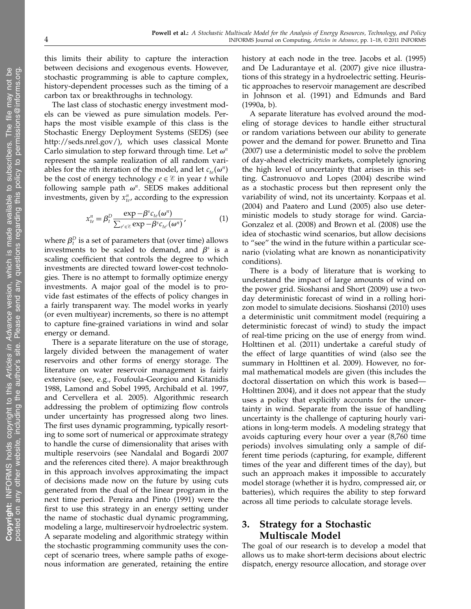this limits their ability to capture the interaction between decisions and exogenous events. However, stochastic programming is able to capture complex, history-dependent processes such as the timing of a carbon tax or breakthroughs in technology.

The last class of stochastic energy investment models can be viewed as pure simulation models. Perhaps the most visible example of this class is the Stochastic Energy Deployment Systems (SEDS) (see http://seds.nrel.gov/), which uses classical Monte Carlo simulation to step forward through time. Let  $\omega^n$ represent the sample realization of all random variables for the *n*th iteration of the model, and let  $c_{te}(\omega^n)$ be the cost of energy technology  $e \in \mathcal{E}$  in year t while following sample path  $\omega^n$ . SEDS makes additional investments, given by  $x_{te}^n$ , according to the expression

$$
x_{te}^{n} = \beta_t^D \frac{\exp - \beta^s c_{te}(\omega^n)}{\sum_{e' \in \mathcal{E}} \exp -\beta^s c_{te'}(\omega^n)},
$$
(1)

where  $\beta_t^D$  is a set of parameters that (over time) allows investments to be scaled to demand, and  $\beta^s$  is a scaling coefficient that controls the degree to which investments are directed toward lower-cost technologies. There is no attempt to formally optimize energy investments. A major goal of the model is to provide fast estimates of the effects of policy changes in a fairly transparent way. The model works in yearly (or even multiyear) increments, so there is no attempt to capture fine-grained variations in wind and solar energy or demand.

There is a separate literature on the use of storage, largely divided between the management of water reservoirs and other forms of energy storage. The literature on water reservoir management is fairly extensive (see, e.g., Foufoula-Georgiou and Kitanidis 1988, Lamond and Sobel 1995, Archibald et al. 1997, and Cervellera et al. 2005). Algorithmic research addressing the problem of optimizing flow controls under uncertainty has progressed along two lines. The first uses dynamic programming, typically resorting to some sort of numerical or approximate strategy to handle the curse of dimensionality that arises with multiple reservoirs (see Nandalal and Bogardi 2007 and the references cited there). A major breakthrough in this approach involves approximating the impact of decisions made now on the future by using cuts generated from the dual of the linear program in the next time period. Pereira and Pinto (1991) were the first to use this strategy in an energy setting under the name of stochastic dual dynamic programming, modeling a large, multireservoir hydroelectric system. A separate modeling and algorithmic strategy within the stochastic programming community uses the concept of scenario trees, where sample paths of exogenous information are generated, retaining the entire history at each node in the tree. Jacobs et al. (1995) and De Ladurantaye et al. (2007) give nice illustrations of this strategy in a hydroelectric setting. Heuristic approaches to reservoir management are described in Johnson et al. (1991) and Edmunds and Bard (1990a, b).

A separate literature has evolved around the modeling of storage devices to handle either structural or random variations between our ability to generate power and the demand for power. Brunetto and Tina (2007) use a deterministic model to solve the problem of day-ahead electricity markets, completely ignoring the high level of uncertainty that arises in this setting. Castronuovo and Lopes (2004) describe wind as a stochastic process but then represent only the variability of wind, not its uncertainty. Korpaas et al. (2004) and Paatero and Lund (2005) also use deterministic models to study storage for wind. Garcia-Gonzalez et al. (2008) and Brown et al. (2008) use the idea of stochastic wind scenarios, but allow decisions to "see" the wind in the future within a particular scenario (violating what are known as nonanticipativity conditions).

There is a body of literature that is working to understand the impact of large amounts of wind on the power grid. Sioshansi and Short (2009) use a twoday deterministic forecast of wind in a rolling horizon model to simulate decisions. Sioshansi (2010) uses a deterministic unit commitment model (requiring a deterministic forecast of wind) to study the impact of real-time pricing on the use of energy from wind. Holttinen et al. (2011) undertake a careful study of the effect of large quantities of wind (also see the summary in Holttinen et al. 2009). However, no formal mathematical models are given (this includes the doctoral dissertation on which this work is based— Holttinen 2004), and it does not appear that the study uses a policy that explicitly accounts for the uncertainty in wind. Separate from the issue of handling uncertainty is the challenge of capturing hourly variations in long-term models. A modeling strategy that avoids capturing every hour over a year (8,760 time periods) involves simulating only a sample of different time periods (capturing, for example, different times of the year and different times of the day), but such an approach makes it impossible to accurately model storage (whether it is hydro, compressed air, or batteries), which requires the ability to step forward across all time periods to calculate storage levels.

# 3. Strategy for a Stochastic Multiscale Model

The goal of our research is to develop a model that allows us to make short-term decisions about electric dispatch, energy resource allocation, and storage over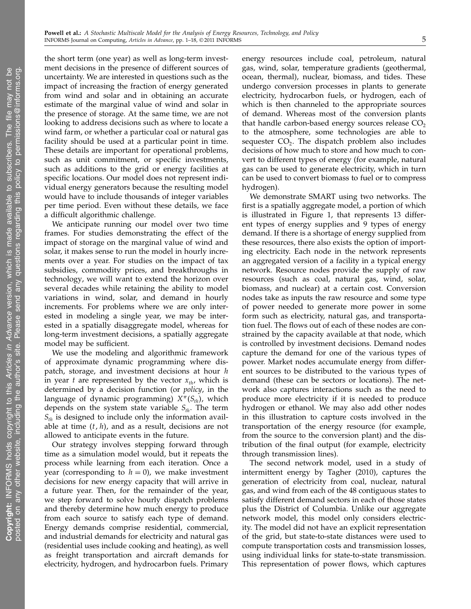the short term (one year) as well as long-term investment decisions in the presence of different sources of uncertainty. We are interested in questions such as the impact of increasing the fraction of energy generated from wind and solar and in obtaining an accurate estimate of the marginal value of wind and solar in the presence of storage. At the same time, we are not looking to address decisions such as where to locate a wind farm, or whether a particular coal or natural gas facility should be used at a particular point in time. These details are important for operational problems, such as unit commitment, or specific investments, such as additions to the grid or energy facilities at specific locations. Our model does not represent individual energy generators because the resulting model would have to include thousands of integer variables per time period. Even without these details, we face a difficult algorithmic challenge.

We anticipate running our model over two time frames. For studies demonstrating the effect of the impact of storage on the marginal value of wind and solar, it makes sense to run the model in hourly increments over a year. For studies on the impact of tax subsidies, commodity prices, and breakthroughs in technology, we will want to extend the horizon over several decades while retaining the ability to model variations in wind, solar, and demand in hourly increments. For problems where we are only interested in modeling a single year, we may be interested in a spatially disaggregate model, whereas for long-term investment decisions, a spatially aggregate model may be sufficient.

We use the modeling and algorithmic framework of approximate dynamic programming where dispatch, storage, and investment decisions at hour h in year t are represented by the vector  $x_{th}$ , which is determined by a decision function (or policy, in the language of dynamic programming)  $X^{\pi}(S_{th})$ , which depends on the system state variable  $S_{th}$ . The term  $S<sub>th</sub>$  is designed to include only the information available at time  $(t, h)$ , and as a result, decisions are not allowed to anticipate events in the future.

Our strategy involves stepping forward through time as a simulation model would, but it repeats the process while learning from each iteration. Once a year (corresponding to  $h = 0$ ), we make investment decisions for new energy capacity that will arrive in a future year. Then, for the remainder of the year, we step forward to solve hourly dispatch problems and thereby determine how much energy to produce from each source to satisfy each type of demand. Energy demands comprise residential, commercial, and industrial demands for electricity and natural gas (residential uses include cooking and heating), as well as freight transportation and aircraft demands for electricity, hydrogen, and hydrocarbon fuels. Primary

energy resources include coal, petroleum, natural gas, wind, solar, temperature gradients (geothermal, ocean, thermal), nuclear, biomass, and tides. These undergo conversion processes in plants to generate electricity, hydrocarbon fuels, or hydrogen, each of which is then channeled to the appropriate sources of demand. Whereas most of the conversion plants that handle carbon-based energy sources release  $CO<sub>2</sub>$ to the atmosphere, some technologies are able to sequester  $\mathrm{CO}_2$ . The dispatch problem also includes decisions of how much to store and how much to convert to different types of energy (for example, natural gas can be used to generate electricity, which in turn can be used to convert biomass to fuel or to compress hydrogen).

We demonstrate SMART using two networks. The first is a spatially aggregate model, a portion of which is illustrated in Figure 1, that represents 13 different types of energy supplies and 9 types of energy demand. If there is a shortage of energy supplied from these resources, there also exists the option of importing electricity. Each node in the network represents an aggregated version of a facility in a typical energy network. Resource nodes provide the supply of raw resources (such as coal, natural gas, wind, solar, biomass, and nuclear) at a certain cost. Conversion nodes take as inputs the raw resource and some type of power needed to generate more power in some form such as electricity, natural gas, and transportation fuel. The flows out of each of these nodes are constrained by the capacity available at that node, which is controlled by investment decisions. Demand nodes capture the demand for one of the various types of power. Market nodes accumulate energy from different sources to be distributed to the various types of demand (these can be sectors or locations). The network also captures interactions such as the need to produce more electricity if it is needed to produce hydrogen or ethanol. We may also add other nodes in this illustration to capture costs involved in the transportation of the energy resource (for example, from the source to the conversion plant) and the distribution of the final output (for example, electricity through transmission lines).

The second network model, used in a study of intermittent energy by Tagher (2010), captures the generation of electricity from coal, nuclear, natural gas, and wind from each of the 48 contiguous states to satisfy different demand sectors in each of those states plus the District of Columbia. Unlike our aggregate network model, this model only considers electricity. The model did not have an explicit representation of the grid, but state-to-state distances were used to compute transportation costs and transmission losses, using individual links for state-to-state transmission. This representation of power flows, which captures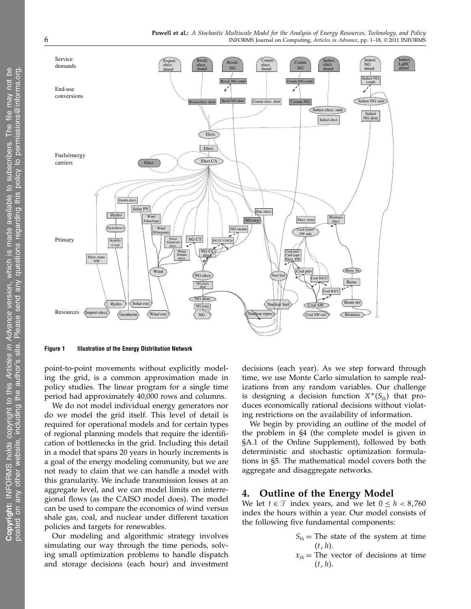

Figure 1 Illustration of the Energy Distribution Network

point-to-point movements without explicitly modeling the grid, is a common approximation made in policy studies. The linear program for a single time period had approximately 40,000 rows and columns.

We do not model individual energy generators nor do we model the grid itself. This level of detail is required for operational models and for certain types of regional planning models that require the identification of bottlenecks in the grid. Including this detail in a model that spans 20 years in hourly increments is a goal of the energy modeling community, but we are not ready to claim that we can handle a model with this granularity. We include transmission losses at an aggregate level, and we can model limits on interregional flows (as the CAISO model does). The model can be used to compare the economics of wind versus shale gas, coal, and nuclear under different taxation policies and targets for renewables.

Our modeling and algorithmic strategy involves simulating our way through the time periods, solving small optimization problems to handle dispatch and storage decisions (each hour) and investment decisions (each year). As we step forward through time, we use Monte Carlo simulation to sample realizations from any random variables. Our challenge is designing a decision function  $X^{\pi}(S_{th})$  that produces economically rational decisions without violating restrictions on the availability of information.

We begin by providing an outline of the model of the problem in §4 (the complete model is given in §A.1 of the Online Supplement), followed by both deterministic and stochastic optimization formulations in §5. The mathematical model covers both the aggregate and disaggregate networks.

# 4. Outline of the Energy Model

We let  $t \in \mathcal{T}$  index years, and we let  $0 \leq h < 8,760$ index the hours within a year. Our model consists of the following five fundamental components:

> $S_{th}$  = The state of the system at time  $(t, h).$  $x_{th}$  = The vector of decisions at time  $(t, h).$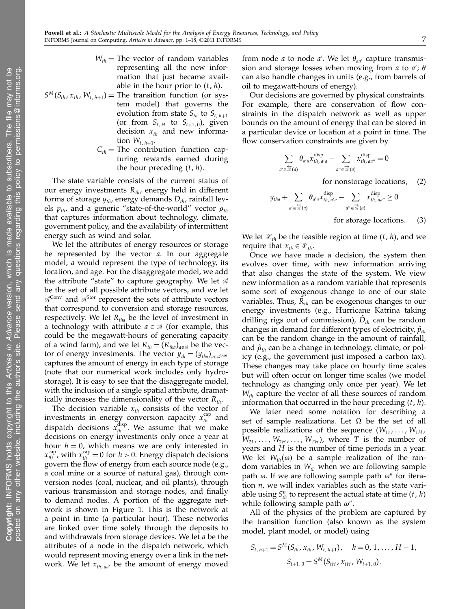- $W_{th}$  = The vector of random variables representing all the new information that just became available in the hour prior to  $(t, h)$ .
- $S^M(S_{th}, x_{th}, W_{t, h+1}) =$  The transition function (or system model) that governs the evolution from state  $S_{th}$  to  $S_{t, h+1}$ (or from  $S_{t,H}$  to  $S_{t+1,0}$ ), given decision  $x_{th}$  and new information  $W_{t, h+1}$ .
	- $C_{th}$  = The contribution function capturing rewards earned during the hour preceding  $(t, h)$ .

The state variable consists of the current status of our energy investments  $R_{th}$ , energy held in different forms of storage  $y_{th}$ , energy demands  $D_{th}$ , rainfall levels  $p_{th}$ , and a generic "state-of-the-world" vector  $p_{th}$ that captures information about technology, climate, government policy, and the availability of intermittent energy such as wind and solar.

We let the attributes of energy resources or storage be represented by the vector  $a$ . In our aggregate model, a would represent the type of technology, its location, and age. For the disaggregate model, we add the attribute "state" to capture geography. We let  $\mathcal A$ be the set of all possible attribute vectors, and we let  $\mathcal{A}^{\text{Conv}}$  and  $\mathcal{A}^{\text{Stor}}$  represent the sets of attribute vectors that correspond to conversion and storage resources, respectively. We let  $R_{tha}$  be the level of investment in a technology with attribute  $a \in \mathcal{A}$  (for example, this could be the megawatt-hours of generating capacity of a wind farm), and we let  $R_{th} = (R_{tha})_{a \in \mathcal{A}}$  be the vector of energy investments. The vector  $y_{th} = (y_{tha})_{a \in \mathcal{A}^{\text{Stor}}}$ captures the amount of energy in each type of storage (note that our numerical work includes only hydrostorage). It is easy to see that the disaggregate model, with the inclusion of a single spatial attribute, dramatically increases the dimensionality of the vector  $R_{th}$ .

The decision variable  $x_{th}$  consists of the vector of investments in energy conversion capacity  $x_{th}^{cap}$  and dispatch decisions  $x_{th}^{\text{disp}}$ . We assume that we make decisions on energy investments only once a year at hour  $h = 0$ , which means we are only interested in  $x_{t0}^{\text{cap}}$  $t_{th}^{\text{cap}}$ , with  $x_{th}^{\text{cap}} = 0$  for  $h > 0$ . Energy dispatch decisions govern the flow of energy from each source node (e.g., a coal mine or a source of natural gas), through conversion nodes (coal, nuclear, and oil plants), through various transmission and storage nodes, and finally to demand nodes. A portion of the aggregate network is shown in Figure 1. This is the network at a point in time (a particular hour). These networks are linked over time solely through the deposits to and withdrawals from storage devices. We let a be the attributes of a node in the dispatch network, which would represent moving energy over a link in the network. We let  $x_{th, \text{aa'}}$  be the amount of energy moved

from node *a* to node *a'*. We let  $\theta_{aa'}$  capture transmission and storage losses when moving from  $a$  to  $a'$ ;  $\theta$ can also handle changes in units (e.g., from barrels of oil to megawatt-hours of energy).

Our decisions are governed by physical constraints. For example, there are conservation of flow constraints in the dispatch network as well as upper bounds on the amount of energy that can be stored in a particular device or location at a point in time. The flow conservation constraints are given by

$$
\sum_{a' \in \overline{\mathcal{A}}(a)} \theta_{a'a} x_{th, a'a}^{\text{disp}} - \sum_{a'' \in \overline{\mathcal{A}}(a)} x_{th, a a''}^{\text{disp}} = 0
$$

for nonstorage locations,  $(2)$ 

$$
+ \sum_{a' \in \overline{\mathcal{A}}(a)} \theta_{a'a} x_{th, a'a}^{\text{disp}} - \sum_{a'' \in \overline{\mathcal{A}}(a)} x_{th, a a''}^{\text{disp}} \ge 0
$$

for storage locations.  $(3)$ 

We let  $\mathcal{X}_{th}$  be the feasible region at time  $(t, h)$ , and we require that  $x_{th} \in \mathcal{X}_{th}$ .

 $y_{\rm tha}$ 

Once we have made a decision, the system then evolves over time, with new information arriving that also changes the state of the system. We view new information as a random variable that represents some sort of exogenous change to one of our state variables. Thus,  $\hat{R}_{th}$  can be exogenous changes to our energy investments (e.g., Hurricane Katrina taking drilling rigs out of commission),  $\hat{D}_{th}$  can be random changes in demand for different types of electricity,  $\hat{p}_{th}$ can be the random change in the amount of rainfall, and  $\hat{\rho}_{th}$  can be a change in technology, climate, or policy (e.g., the government just imposed a carbon tax). These changes may take place on hourly time scales but will often occur on longer time scales (we model technology as changing only once per year). We let  $W_{th}$  capture the vector of all these sources of random information that occurred in the hour preceding  $(t, h)$ .

We later need some notation for describing a set of sample realizations. Let  $\Omega$  be the set of all possible realizations of the sequence  $(W_{11},...,W_{1H})$  $W_{21}, \ldots, W_{2H}, \ldots, W_{TH}$ , where T is the number of years and H is the number of time periods in a year. We let  $W_{th}(\omega)$  be a sample realization of the random variables in  $W_{th}$  when we are following sample path  $\omega$ . If we are following sample path  $\omega^n$  for iteration  $n$ , we will index variables such as the state variable using  $S_{th}^n$  to represent the actual state at time  $(t, h)$ while following sample path  $\omega^n$ .

All of the physics of the problem are captured by the transition function (also known as the system model, plant model, or model) using

$$
S_{t, h+1} = S^{M}(S_{th}, x_{th}, W_{t, h+1}), \quad h = 0, 1, ..., H - 1,
$$
  

$$
S_{t+1, 0} = S^{M}(S_{tH}, x_{tH}, W_{t+1, 0}).
$$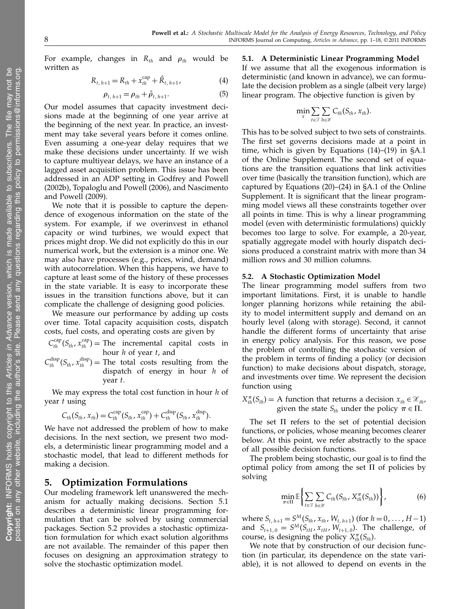posted on an

y other

For example, changes in  $R_{th}$  and  $\rho_{th}$  would be written as

$$
R_{t, h+1} = R_{th} + x_{th}^{cap} + \hat{R}_{t, h+1},
$$
\n(4)

$$
\rho_{t, h+1} = \rho_{th} + \hat{\rho}_{t, h+1}.
$$
\n(5)

Our model assumes that capacity investment decisions made at the beginning of one year arrive at the beginning of the next year. In practice, an investment may take several years before it comes online. Even assuming a one-year delay requires that we make these decisions under uncertainty. If we wish to capture multiyear delays, we have an instance of a lagged asset acquisition problem. This issue has been addressed in an ADP setting in Godfrey and Powell (2002b), Topaloglu and Powell (2006), and Nascimento and Powell (2009).

We note that it is possible to capture the dependence of exogenous information on the state of the system. For example, if we overinvest in ethanol capacity or wind turbines, we would expect that prices might drop. We did not explicitly do this in our numerical work, but the extension is a minor one. We may also have processes (e.g., prices, wind, demand) with autocorrelation. When this happens, we have to capture at least some of the history of these processes in the state variable. It is easy to incorporate these issues in the transition functions above, but it can complicate the challenge of designing good policies.

We measure our performance by adding up costs over time. Total capacity acquisition costs, dispatch costs, fuel costs, and operating costs are given by

 $C_{th}^{cap}(S_{th}, x_{th}^{cap})$  = The incremental capital costs in hour  $h$  of year  $t$ , and

 $C_{th}^{\text{disp}}(S_{th}, x_{th}^{\text{disp}})$  = The total costs resulting from the dispatch of energy in hour h of year t.

We may express the total cost function in hour  $h$  of year t using

$$
C_{th}(S_{th}, x_{th}) = C_{th}^{cap}(S_{th}, x_{th}^{cap}) + C_{th}^{disp}(S_{th}, x_{th}^{disp}).
$$

We have not addressed the problem of how to make decisions. In the next section, we present two models, a deterministic linear programming model and a stochastic model, that lead to different methods for making a decision.

# 5. Optimization Formulations

Our modeling framework left unanswered the mechanism for actually making decisions. Section 5.1 describes a deterministic linear programming formulation that can be solved by using commercial packages. Section 5.2 provides a stochastic optimization formulation for which exact solution algorithms are not available. The remainder of this paper then focuses on designing an approximation strategy to solve the stochastic optimization model.

5.1. A Deterministic Linear Programming Model If we assume that all the exogenous information is deterministic (and known in advance), we can formulate the decision problem as a single (albeit very large) linear program. The objective function is given by

$$
\min_{x} \sum_{t \in \mathcal{T}} \sum_{h \in \mathcal{H}} C_{th}(S_{th}, x_{th}).
$$

This has to be solved subject to two sets of constraints. The first set governs decisions made at a point in time, which is given by Equations (14)–(19) in §A.1 of the Online Supplement. The second set of equations are the transition equations that link activities over time (basically the transition function), which are captured by Equations (20)–(24) in §A.1 of the Online Supplement. It is significant that the linear programming model views all these constraints together over all points in time. This is why a linear programming model (even with deterministic formulations) quickly becomes too large to solve. For example, a 20-year, spatially aggregate model with hourly dispatch decisions produced a constraint matrix with more than 34 million rows and 30 million columns.

## 5.2. A Stochastic Optimization Model

The linear programming model suffers from two important limitations. First, it is unable to handle longer planning horizons while retaining the ability to model intermittent supply and demand on an hourly level (along with storage). Second, it cannot handle the different forms of uncertainty that arise in energy policy analysis. For this reason, we pose the problem of controlling the stochastic version of the problem in terms of finding a policy (or decision function) to make decisions about dispatch, storage, and investments over time. We represent the decision function using

 $X_{th}^{\pi}(S_{th}) = A$  function that returns a decision  $x_{th} \in \mathcal{X}_{th}$ , given the state  $S_{th}$  under the policy  $\pi \in \Pi$ .

The set  $\Pi$  refers to the set of potential decision functions, or policies, whose meaning becomes clearer below. At this point, we refer abstractly to the space of all possible decision functions.

The problem being stochastic, our goal is to find the optimal policy from among the set  $\Pi$  of policies by solving

$$
\min_{\pi \in \Pi} \mathbb{E}\left\{\sum_{t \in \mathcal{F}}\sum_{h \in \mathcal{H}} C_{th}(S_{th}, X_{th}^{\pi}(S_{th}))\right\},\tag{6}
$$

where  $S_{t, h+1} = S^{M}(S_{th}, x_{th}, W_{t, h+1})$  (for  $h = 0, ..., H-1$ ) and  $S_{t+1,0} = S^M(S_{tH}, x_{tH}, W_{t+1,0})$ . The challenge, of course, is designing the policy  $X_{th}^{\pi}(S_{th})$ .

We note that by construction of our decision function (in particular, its dependence on the state variable), it is not allowed to depend on events in the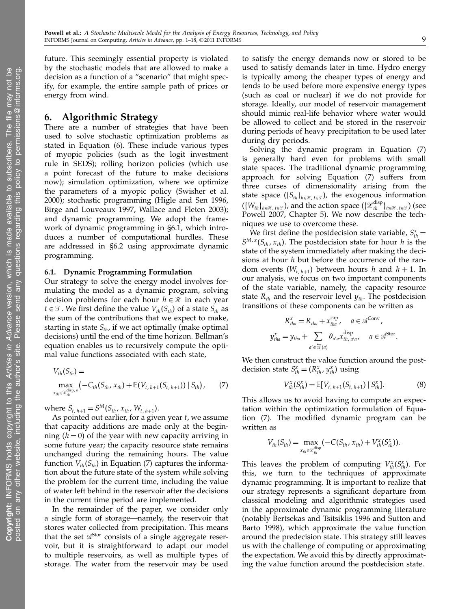posted on an

y other

future. This seemingly essential property is violated by the stochastic models that are allowed to make a decision as a function of a "scenario" that might specify, for example, the entire sample path of prices or energy from wind.

# 6. Algorithmic Strategy

There are a number of strategies that have been used to solve stochastic optimization problems as stated in Equation (6). These include various types of myopic policies (such as the logit investment rule in SEDS); rolling horizon policies (which use a point forecast of the future to make decisions now); simulation optimization, where we optimize the parameters of a myopic policy (Swisher et al. 2000); stochastic programming (Higle and Sen 1996, Birge and Louveaux 1997, Wallace and Fleten 2003); and dynamic programming. We adopt the framework of dynamic programming in §6.1, which introduces a number of computational hurdles. These are addressed in §6.2 using approximate dynamic programming.

## 6.1. Dynamic Programming Formulation

Our strategy to solve the energy model involves formulating the model as a dynamic program, solving decision problems for each hour  $h \in \mathcal{H}$  in each year *t* ∈  $\mathcal{T}$ . We first define the value  $V_{th}(S_{th})$  of a state  $S_{th}$  as the sum of the contributions that we expect to make, starting in state  $S_{th}$ , if we act optimally (make optimal decisions) until the end of the time horizon. Bellman's equation enables us to recursively compute the optimal value functions associated with each state,

$$
V_{th}(S_{th}) = \max_{x_{th} \in \mathcal{X}_{th}^{disp,n}} \left( -C_{th}(S_{th}, x_{th}) + \mathbb{E}(V_{t, h+1}(S_{t, h+1})) \mid S_{th} \right), \tag{7}
$$

where  $S_{t, h+1} = S^M(S_{th}, x_{th}, W_{t, h+1}).$ 

As pointed out earlier, for a given year  $t$ , we assume that capacity additions are made only at the beginning  $(h = 0)$  of the year with new capacity arriving in some future year; the capacity resource state remains unchanged during the remaining hours. The value function  $V_{th}(S_{th})$  in Equation (7) captures the information about the future state of the system while solving the problem for the current time, including the value of water left behind in the reservoir after the decisions in the current time period are implemented.

In the remainder of the paper, we consider only a single form of storage—namely, the reservoir that stores water collected from precipitation. This means that the set  $\mathcal{A}^{Stor}$  consists of a single aggregate reservoir, but it is straightforward to adapt our model to multiple reservoirs, as well as multiple types of storage. The water from the reservoir may be used to satisfy the energy demands now or stored to be used to satisfy demands later in time. Hydro energy is typically among the cheaper types of energy and tends to be used before more expensive energy types (such as coal or nuclear) if we do not provide for storage. Ideally, our model of reservoir management should mimic real-life behavior where water would be allowed to collect and be stored in the reservoir during periods of heavy precipitation to be used later during dry periods.

Solving the dynamic program in Equation (7) is generally hard even for problems with small state spaces. The traditional dynamic programming approach for solving Equation (7) suffers from three curses of dimensionality arising from the state space ( $\{S_{th}\}_{h \in \mathcal{H}, t \in \mathcal{T}}$ ), the exogenous information  $(\{W_{th}\}_{h\in\mathcal{X},\,t\in\mathcal{T}})$ , and the action space  $(\{\mathcal{X}_{th}^{\text{disp}}\}_{h\in\mathcal{X},\,t\in\mathcal{T}})$  (see Powell 2007, Chapter 5). We now describe the techniques we use to overcome these.

We first define the postdecision state variable,  $S_{th}^{x}$  =  $S^{M,\,x}(S_{th},\,x_{th})$ . The postdecision state for hour h is the state of the system immediately after making the decisions at hour  $h$  but before the occurrence of the random events  $(W_{t, h+1})$  between hours  $h$  and  $h+1$ . In our analysis, we focus on two important components of the state variable, namely, the capacity resource state  $R_{th}$  and the reservoir level  $y_{th}$ . The postdecision transitions of these components can be written as

$$
R_{tha}^{x} = R_{tha} + x_{tha}^{cap}, \quad a \in \mathcal{A}^{Conv},
$$
  

$$
y_{tha}^{x} = y_{tha} + \sum_{a' \in \mathcal{A}(a)} \theta_{a'a} x_{th, a'a}^{disp}, \quad a \in \mathcal{A}^{Stor}.
$$

We then construct the value function around the postdecision state  $S_{th}^x = (R_{th}^x, y_{th}^x)$  using

$$
V_{th}^{x}(S_{th}^{x}) = \mathbb{E}[V_{t, h+1}(S_{t, h+1}) | S_{th}^{x}]. \tag{8}
$$

This allows us to avoid having to compute an expectation within the optimization formulation of Equation (7). The modified dynamic program can be written as

$$
V_{th}(S_{th}) = \max_{x_{th} \in \mathcal{X}_{th}^{\text{disp}}} (-C(S_{th}, x_{th}) + V_{th}^{x}(S_{th}^{x})).
$$

This leaves the problem of computing  $V_{th}^x(S_{th}^x)$ . For this, we turn to the techniques of approximate dynamic programming. It is important to realize that our strategy represents a significant departure from classical modeling and algorithmic strategies used in the approximate dynamic programming literature (notably Bertsekas and Tsitsiklis 1996 and Sutton and Barto 1998), which approximate the value function around the predecision state. This strategy still leaves us with the challenge of computing or approximating the expectation. We avoid this by directly approximating the value function around the postdecision state.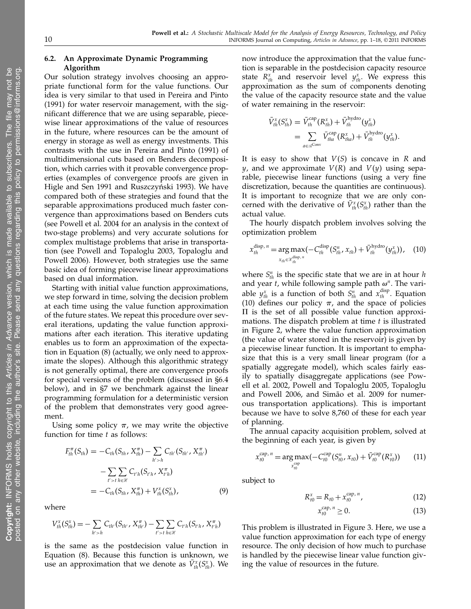## 6.2. An Approximate Dynamic Programming Algorithm

Our solution strategy involves choosing an appropriate functional form for the value functions. Our idea is very similar to that used in Pereira and Pinto (1991) for water reservoir management, with the significant difference that we are using separable, piecewise linear approximations of the value of resources in the future, where resources can be the amount of energy in storage as well as energy investments. This contrasts with the use in Pereira and Pinto (1991) of multidimensional cuts based on Benders decomposition, which carries with it provable convergence properties (examples of convergence proofs are given in Higle and Sen 1991 and Ruszczyński 1993). We have compared both of these strategies and found that the separable approximations produced much faster convergence than approximations based on Benders cuts (see Powell et al. 2004 for an analysis in the context of two-stage problems) and very accurate solutions for complex multistage problems that arise in transportation (see Powell and Topaloglu 2003, Topaloglu and Powell 2006). However, both strategies use the same basic idea of forming piecewise linear approximations based on dual information.

Starting with initial value function approximations, we step forward in time, solving the decision problem at each time using the value function approximation of the future states. We repeat this procedure over several iterations, updating the value function approximations after each iteration. This iterative updating enables us to form an approximation of the expectation in Equation (8) (actually, we only need to approximate the slopes). Although this algorithmic strategy is not generally optimal, there are convergence proofs for special versions of the problem (discussed in §6.4 below), and in §7 we benchmark against the linear programming formulation for a deterministic version of the problem that demonstrates very good agreement.

Using some policy  $\pi$ , we may write the objective function for time  $t$  as follows:

$$
F_{th}^{\pi}(S_{th}) = -C_{th}(S_{th}, X_{th}^{\pi}) - \sum_{h' > h} C_{th'}(S_{th'}, X_{th'}^{\pi})
$$
  

$$
- \sum_{t' > t} \sum_{h \in \mathcal{H}} C_{t'h}(S_{t'h}, X_{t'h}^{\pi})
$$
  

$$
= -C_{th}(S_{th}, X_{th}^{\pi}) + V_{th}^{x}(S_{th}^{x}), \qquad (9)
$$

where

$$
V_{th}^{x}(S_{th}^{x}) = -\sum_{h' > h} C_{th'}(S_{th'}, X_{th'}^{\pi}) - \sum_{t' > t} \sum_{h \in \mathcal{H}} C_{t'h}(S_{t'h}, X_{t'h}^{\pi})
$$

is the same as the postdecision value function in Equation (8). Because this function is unknown, we use an approximation that we denote as  $\bar{V}_{th}^{x}(S_{th}^{x})$ . We

now introduce the approximation that the value function is separable in the postdecision capacity resource state  $R_{th}^x$  and reservoir level  $y_{th}^x$ . We express this approximation as the sum of components denoting the value of the capacity resource state and the value of water remaining in the reservoir:

$$
\begin{split} \bar{V}_{th}^{x}(S_{th}^{x}) &= \bar{V}_{th}^{\text{cap}}(R_{th}^{x}) + \bar{V}_{th}^{\text{hydro}}(y_{th}^{x}) \\ &= \sum_{a \in \mathcal{A}^{\text{Conv}}} \bar{V}_{tha}^{\text{cap}}(R_{tha}^{x}) + \bar{V}_{th}^{\text{hydro}}(y_{th}^{x}). \end{split}
$$

It is easy to show that  $V(S)$  is concave in R and *y*, and we approximate  $V(R)$  and  $V(y)$  using separable, piecewise linear functions (using a very fine discretization, because the quantities are continuous). It is important to recognize that we are only concerned with the derivative of  $\bar{V}_{th}^x(S_{th}^x)$  rather than the actual value.

The hourly dispatch problem involves solving the optimization problem

$$
x_{th}^{\text{disp}, n} = \underset{x_{th} \in \mathcal{X}_{th}^{\text{disp}, n}}{\arg \max} (-C_{th}^{\text{disp}}(S_{th}^{n}, x_{th}) + \bar{V}_{th}^{\text{hydro}}(y_{th}^{x})), \quad (10)
$$

where  $S_{th}^{n}$  is the specific state that we are in at hour  $h$ and year *t*, while following sample path  $\omega^n$ . The variable  $y_{th}^x$  is a function of both  $S_{th}^n$  and  $x_{th}^{\text{disp}}$ . Equation (10) defines our policy  $\pi$ , and the space of policies  $\Pi$  is the set of all possible value function approximations. The dispatch problem at time  $t$  is illustrated in Figure 2, where the value function approximation (the value of water stored in the reservoir) is given by a piecewise linear function. It is important to emphasize that this is a very small linear program (for a spatially aggregate model), which scales fairly easily to spatially disaggregate applications (see Powell et al. 2002, Powell and Topaloglu 2005, Topaloglu and Powell 2006, and Simão et al. 2009 for numerous transportation applications). This is important because we have to solve 8,760 of these for each year of planning.

The annual capacity acquisition problem, solved at the beginning of each year, is given by

$$
x_{t0}^{\text{cap}, n} = \underset{x_{t0}^{\text{cap}}}{\arg \max} (-C_{t0}^{\text{cap}}(S_{t0}^n, x_{t0}) + \bar{V}_{t0}^{\text{cap}}(R_{t0}^x))
$$
 (11)

subject to

$$
R_{t0}^{x} = R_{t0} + x_{t0}^{\text{cap}, n}, \tag{12}
$$

$$
x_{t0}^{\text{cap}, n} \ge 0. \tag{13}
$$

This problem is illustrated in Figure 3. Here, we use a value function approximation for each type of energy resource. The only decision of how much to purchase is handled by the piecewise linear value function giving the value of resources in the future.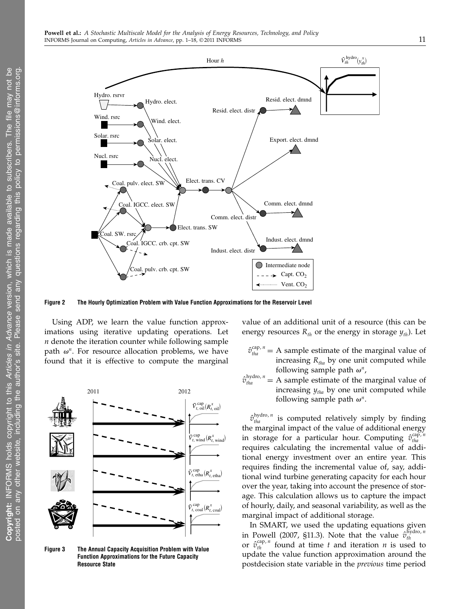

Figure 2 The Hourly Optimization Problem with Value Function Approximations for the Reservoir Level

Using ADP, we learn the value function approximations using iterative updating operations. Let  $n$  denote the iteration counter while following sample path  $\omega^n$ . For resource allocation problems, we have found that it is effective to compute the marginal

2011 2012  $\bar{V}_{t, \text{ oil}}^{\text{cap}}(R_{t, \text{ oil}}^{x})$  $\bar{V}^{\text{cap}}_{t, \text{ wind}}(R^x_{t, \text{ wind}})$  $\bar{V}_{t, \text{etha}}^{\text{cap}}(R_{t, \text{etha}}^{x})$  $\bar{V}_{t,\text{coal}}^{\text{cap}}(R_{t,\text{coal}}^{x})$ 

Figure 3 The Annual Capacity Acquisition Problem with Value Function Approximations for the Future Capacity Resource State

value of an additional unit of a resource (this can be energy resources  $R_{th}$  or the energy in storage  $y_{th}$ ). Let

- $\hat{v}_{\text{tha}}^{\text{cap}, n}$  = A sample estimate of the marginal value of increasing  $R_{tha}$  by one unit computed while following sample path  $\omega^n$ ,
- $\hat{v}_{tha}^{\text{hydro}, n}$  = A sample estimate of the marginal value of increasing  $y_{tha}$  by one unit computed while following sample path  $\omega^n$ .

 $\hat{v}_{tha}^{\text{hydro}, n}$  is computed relatively simply by finding the marginal impact of the value of additional energy in storage for a particular hour. Computing  $\hat{v}_{\text{tha}}^{\text{cap}, n}$ tha requires calculating the incremental value of additional energy investment over an entire year. This requires finding the incremental value of, say, additional wind turbine generating capacity for each hour over the year, taking into account the presence of storage. This calculation allows us to capture the impact of hourly, daily, and seasonal variability, as well as the marginal impact of additional storage.

In SMART, we used the updating equations given in Powell (2007, §11.3). Note that the value  $\hat{v}_{th}^{\text{hydro}, n}$ th or  $\hat{v}_{th}^{cap,n}$  found at time t and iteration n is used to update the value function approximation around the postdecision state variable in the previous time period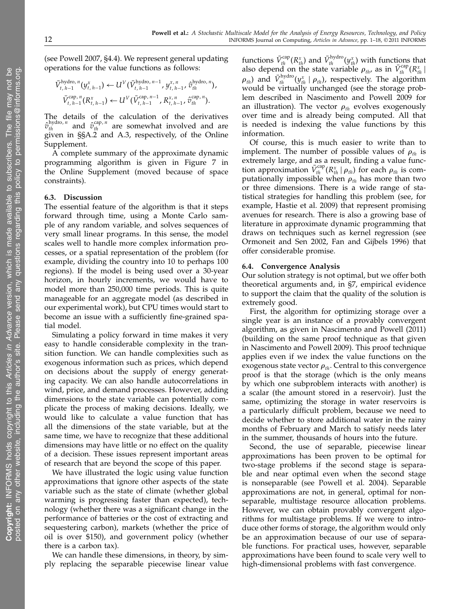(see Powell 2007, §4.4). We represent general updating operations for the value functions as follows:

$$
\bar{V}_{t, h-1}^{\text{hydro}, n}(y_{t, h-1}^x) \leftarrow U^V(\bar{V}_{t, h-1}^{\text{hydro}, n-1}, y_{t, h-1}^x, \hat{v}_{th}^{\text{hydro}, n}),
$$
  

$$
\bar{V}_{t, h-1}^{\text{cap}, n}(R_{t, h-1}^x) \leftarrow U^V(\bar{V}_{t, h-1}^{\text{cap}, n-1}, R_{t, h-1}^x, \hat{v}_{th}^{\text{cap}, n}).
$$

The details of the calculation of the derivatives  $\hat{v}_{th}^{\text{hydro}, n}$  and  $\hat{v}_{th}^{\text{cap}, n}$  are somewhat involved and are given in §§A.2 and A.3, respectively, of the Online Supplement.

A complete summary of the approximate dynamic programming algorithm is given in Figure 7 in the Online Supplement (moved because of space constraints).

## 6.3. Discussion

The essential feature of the algorithm is that it steps forward through time, using a Monte Carlo sample of any random variable, and solves sequences of very small linear programs. In this sense, the model scales well to handle more complex information processes, or a spatial representation of the problem (for example, dividing the country into 10 to perhaps 100 regions). If the model is being used over a 30-year horizon, in hourly increments, we would have to model more than 250,000 time periods. This is quite manageable for an aggregate model (as described in our experimental work), but CPU times would start to become an issue with a sufficiently fine-grained spatial model.

Simulating a policy forward in time makes it very easy to handle considerable complexity in the transition function. We can handle complexities such as exogenous information such as prices, which depend on decisions about the supply of energy generating capacity. We can also handle autocorrelations in wind, price, and demand processes. However, adding dimensions to the state variable can potentially complicate the process of making decisions. Ideally, we would like to calculate a value function that has all the dimensions of the state variable, but at the same time, we have to recognize that these additional dimensions may have little or no effect on the quality of a decision. These issues represent important areas of research that are beyond the scope of this paper.

We have illustrated the logic using value function approximations that ignore other aspects of the state variable such as the state of climate (whether global warming is progressing faster than expected), technology (whether there was a significant change in the performance of batteries or the cost of extracting and sequestering carbon), markets (whether the price of oil is over \$150), and government policy (whether there is a carbon tax).

We can handle these dimensions, in theory, by simply replacing the separable piecewise linear value

functions  $\bar{V}_{th}^{cap}(R_{th}^x)$  and  $\bar{V}_{th}^{hydro}(y_{th}^x)$  with functions that also depend on the state variable  $\rho_{th}$ , as in  $\bar{V}_{th}^{\text{cap}}(R_{th}^x)$  $\rho_{th}$ ) and  $\bar{V}^{\text{hydro}}_{th}(y^x_{th} \mid \rho_{th})$ , respectively. The algorithm would be virtually unchanged (see the storage problem described in Nascimento and Powell 2009 for an illustration). The vector  $\rho_{th}$  evolves exogenously over time and is already being computed. All that is needed is indexing the value functions by this information.

Of course, this is much easier to write than to implement. The number of possible values of  $\rho_{th}$  is extremely large, and as a result, finding a value function approximation  $\bar{V}_{th}^{\text{cap}}(R_{th}^{x} | \rho_{th})$  for each  $\rho_{th}$  is computationally impossible when  $\rho_{th}$  has more than two or three dimensions. There is a wide range of statistical strategies for handling this problem (see, for example, Hastie et al. 2009) that represent promising avenues for research. There is also a growing base of literature in approximate dynamic programming that draws on techniques such as kernel regression (see Ormoneit and Sen 2002, Fan and Gijbels 1996) that offer considerable promise.

## 6.4. Convergence Analysis

Our solution strategy is not optimal, but we offer both theoretical arguments and, in §7, empirical evidence to support the claim that the quality of the solution is extremely good.

First, the algorithm for optimizing storage over a single year is an instance of a provably convergent algorithm, as given in Nascimento and Powell (2011) (building on the same proof technique as that given in Nascimento and Powell 2009). This proof technique applies even if we index the value functions on the exogenous state vector  $\rho_{th}$ . Central to this convergence proof is that the storage (which is the only means by which one subproblem interacts with another) is a scalar (the amount stored in a reservoir). Just the same, optimizing the storage in water reservoirs is a particularly difficult problem, because we need to decide whether to store additional water in the rainy months of February and March to satisfy needs later in the summer, thousands of hours into the future.

Second, the use of separable, piecewise linear approximations has been proven to be optimal for two-stage problems if the second stage is separable and near optimal even when the second stage is nonseparable (see Powell et al. 2004). Separable approximations are not, in general, optimal for nonseparable, multistage resource allocation problems. However, we can obtain provably convergent algorithms for multistage problems. If we were to introduce other forms of storage, the algorithm would only be an approximation because of our use of separable functions. For practical uses, however, separable approximations have been found to scale very well to high-dimensional problems with fast convergence.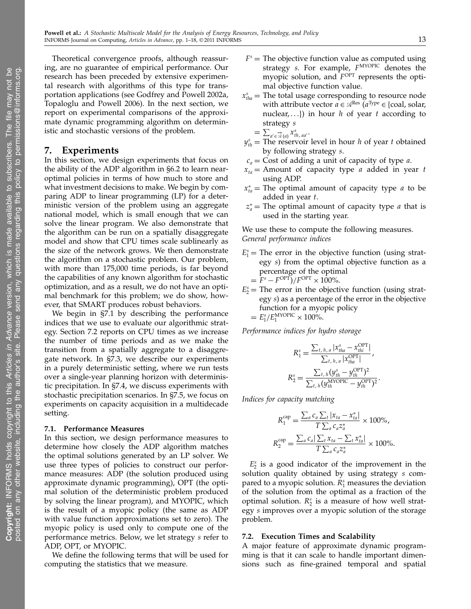posted on an

y other

Theoretical convergence proofs, although reassuring, are no guarantee of empirical performance. Our research has been preceded by extensive experimental research with algorithms of this type for transportation applications (see Godfrey and Powell 2002a, Topaloglu and Powell 2006). In the next section, we report on experimental comparisons of the approximate dynamic programming algorithm on deterministic and stochastic versions of the problem.

## 7. Experiments

In this section, we design experiments that focus on the ability of the ADP algorithm in §6.2 to learn nearoptimal policies in terms of how much to store and what investment decisions to make. We begin by comparing ADP to linear programming (LP) for a deterministic version of the problem using an aggregate national model, which is small enough that we can solve the linear program. We also demonstrate that the algorithm can be run on a spatially disaggregate model and show that CPU times scale sublinearly as the size of the network grows. We then demonstrate the algorithm on a stochastic problem. Our problem, with more than 175,000 time periods, is far beyond the capabilities of any known algorithm for stochastic optimization, and as a result, we do not have an optimal benchmark for this problem; we do show, however, that SMART produces robust behaviors.

We begin in §7.1 by describing the performance indices that we use to evaluate our algorithmic strategy. Section 7.2 reports on CPU times as we increase the number of time periods and as we make the transition from a spatially aggregate to a disaggregate network. In §7.3, we describe our experiments in a purely deterministic setting, where we run tests over a single-year planning horizon with deterministic precipitation. In §7.4, we discuss experiments with stochastic precipitation scenarios. In §7.5, we focus on experiments on capacity acquisition in a multidecade setting.

#### 7.1. Performance Measures

In this section, we design performance measures to determine how closely the ADP algorithm matches the optimal solutions generated by an LP solver. We use three types of policies to construct our performance measures: ADP (the solution produced using approximate dynamic programming), OPT (the optimal solution of the deterministic problem produced by solving the linear program), and MYOPIC, which is the result of a myopic policy (the same as ADP with value function approximations set to zero). The myopic policy is used only to compute one of the performance metrics. Below, we let strategy s refer to ADP, OPT, or MYOPIC.

We define the following terms that will be used for computing the statistics that we measure.

- $F<sup>s</sup>$  = The objective function value as computed using strategy *s*. For example,  $F^{MYOPIC}$  denotes the myopic solution, and  $F^{\text{OPT}}$  represents the optimal objective function value.
- $x_{\text{tha}}^s$  = The total usage corresponding to resource node with attribute vector  $a \in \mathcal{A}^{\rm Res}$   $(a^{\rm Type} \in \{ {\rm coal, solar,} \}$ nuclear,...}) in hour h of year t according to strategy s

$$
=\sum_{a'\in\overrightarrow{\mathcal{A}}(a)}x_{th,\,aa'}^s.
$$

- $y_{th}^s$  = The reservoir level in hour *h* of year *t* obtained by following strategy s.
- $c_a$  = Cost of adding a unit of capacity of type *a*.
- $x_{ta}$  = Amount of capacity type *a* added in year *t* using ADP.
- $x_{ta}^*$  = The optimal amount of capacity type *a* to be added in year t.
- $z_a^*$  = The optimal amount of capacity type *a* that is used in the starting year.

We use these to compute the following measures. General performance indices

- $E_1^s$  = The error in the objective function (using strategy s) from the optimal objective function as a percentage of the optimal  $= F<sup>s</sup> - F<sup>OPT</sup>$  $/ F<sup>OPT</sup> \times 100$ %.
- $E_2^s$  = The error in the objective function (using strategy s) as a percentage of the error in the objective function for a myopic policy  $= E_1^s / E_1^{\text{MYOPIC}} \times 100\%.$

Performance indices for hydro storage

$$
R_1^s = \frac{\sum_{t, h, a} |x_{tha}^s - x_{thi}^{\text{OPT}}|}{\sum_{t, h, a} |x_{tha}^{\text{OPT}}|},
$$
  

$$
R_2^s = \frac{\sum_{t, h} (y_{th}^s - y_{th}^{\text{OPT}})^2}{\sum_{t, h} (y_{th}^{\text{MOPPC}} - y_{th}^{\text{OPT}})^2}.
$$

Indices for capacity matching

$$
R_1^{\text{cap}} = \frac{\sum_a c_a \sum_t |x_{ta} - x_{ta}^*|}{T \sum_a c_a z_a^*} \times 100\%,
$$
  

$$
R_2^{\text{cap}} = \frac{\sum_a c_a |\sum_t x_{ta} - \sum_t x_{ta}^*|}{T \sum_a c_a z_a^*} \times 100\%.
$$

 $E_2^s$  is a good indicator of the improvement in the solution quality obtained by using strategy s compared to a myopic solution.  $R_1^s$  measures the deviation of the solution from the optimal as a fraction of the optimal solution.  $R_2^s$  is a measure of how well strategy s improves over a myopic solution of the storage problem.

## 7.2. Execution Times and Scalability

A major feature of approximate dynamic programming is that it can scale to handle important dimensions such as fine-grained temporal and spatial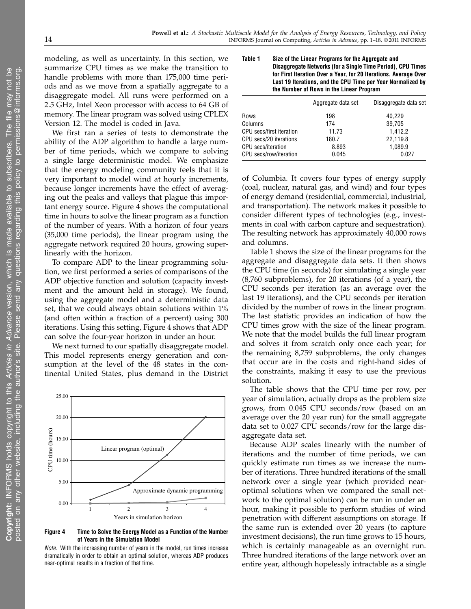modeling, as well as uncertainty. In this section, we summarize CPU times as we make the transition to handle problems with more than 175,000 time periods and as we move from a spatially aggregate to a disaggregate model. All runs were performed on a 2.5 GHz, Intel Xeon processor with access to 64 GB of memory. The linear program was solved using CPLEX Version 12. The model is coded in Java.

We first ran a series of tests to demonstrate the ability of the ADP algorithm to handle a large number of time periods, which we compare to solving a single large deterministic model. We emphasize that the energy modeling community feels that it is very important to model wind at hourly increments, because longer increments have the effect of averaging out the peaks and valleys that plague this important energy source. Figure 4 shows the computational time in hours to solve the linear program as a function of the number of years. With a horizon of four years (35,000 time periods), the linear program using the aggregate network required 20 hours, growing superlinearly with the horizon.

To compare ADP to the linear programming solution, we first performed a series of comparisons of the ADP objective function and solution (capacity investment and the amount held in storage). We found, using the aggregate model and a deterministic data set, that we could always obtain solutions within 1% (and often within a fraction of a percent) using 300 iterations. Using this setting, Figure 4 shows that ADP can solve the four-year horizon in under an hour.

We next turned to our spatially disaggregate model. This model represents energy generation and consumption at the level of the 48 states in the continental United States, plus demand in the District



#### Figure 4 Time to Solve the Energy Model as a Function of the Number of Years in the Simulation Model

Note. With the increasing number of years in the model, run times increase dramatically in order to obtain an optimal solution, whereas ADP produces near-optimal results in a fraction of that time.

Table 1 Size of the Linear Programs for the Aggregate and Disaggregate Networks (for a Single Time Period), CPU Times for First Iteration Over a Year, for 20 Iterations, Average Over Last 19 Iterations, and the CPU Time per Year Normalized by the Number of Rows in the Linear Program

|                           | Aggregate data set | Disaggregate data set |  |  |
|---------------------------|--------------------|-----------------------|--|--|
| Rows                      | 198                | 40.229                |  |  |
| Columns                   | 174                | 39,705                |  |  |
| CPU secs/first iteration  | 11.73              | 1.412.2               |  |  |
| CPU secs/20 iterations    | 180.7              | 22,119.8              |  |  |
| <b>CPU</b> secs/iteration | 8.893              | 1,089.9               |  |  |
| CPU secs/row/iteration    | 0.045              | 0.027                 |  |  |
|                           |                    |                       |  |  |

of Columbia. It covers four types of energy supply (coal, nuclear, natural gas, and wind) and four types of energy demand (residential, commercial, industrial, and transportation). The network makes it possible to consider different types of technologies (e.g., investments in coal with carbon capture and sequestration). The resulting network has approximately 40,000 rows and columns.

Table 1 shows the size of the linear programs for the aggregate and disaggregate data sets. It then shows the CPU time (in seconds) for simulating a single year (8,760 subproblems), for 20 iterations (of a year), the CPU seconds per iteration (as an average over the last 19 iterations), and the CPU seconds per iteration divided by the number of rows in the linear program. The last statistic provides an indication of how the CPU times grow with the size of the linear program. We note that the model builds the full linear program and solves it from scratch only once each year; for the remaining 8,759 subproblems, the only changes that occur are in the costs and right-hand sides of the constraints, making it easy to use the previous solution.

The table shows that the CPU time per row, per year of simulation, actually drops as the problem size grows, from 0.045 CPU seconds/row (based on an average over the 20 year run) for the small aggregate data set to 0.027 CPU seconds/row for the large disaggregate data set.

Because ADP scales linearly with the number of iterations and the number of time periods, we can quickly estimate run times as we increase the number of iterations. Three hundred iterations of the small network over a single year (which provided nearoptimal solutions when we compared the small network to the optimal solution) can be run in under an hour, making it possible to perform studies of wind penetration with different assumptions on storage. If the same run is extended over 20 years (to capture investment decisions), the run time grows to 15 hours, which is certainly manageable as an overnight run. Three hundred iterations of the large network over an entire year, although hopelessly intractable as a single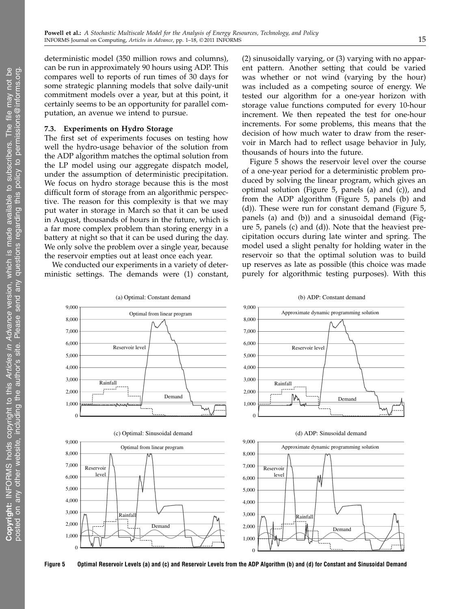deterministic model (350 million rows and columns), can be run in approximately 90 hours using ADP. This compares well to reports of run times of 30 days for some strategic planning models that solve daily-unit commitment models over a year, but at this point, it certainly seems to be an opportunity for parallel computation, an avenue we intend to pursue.

#### 7.3. Experiments on Hydro Storage

The first set of experiments focuses on testing how well the hydro-usage behavior of the solution from the ADP algorithm matches the optimal solution from the LP model using our aggregate dispatch model, under the assumption of deterministic precipitation. We focus on hydro storage because this is the most difficult form of storage from an algorithmic perspective. The reason for this complexity is that we may put water in storage in March so that it can be used in August, thousands of hours in the future, which is a far more complex problem than storing energy in a battery at night so that it can be used during the day. We only solve the problem over a single year, because the reservoir empties out at least once each year.

We conducted our experiments in a variety of deterministic settings. The demands were (1) constant, (2) sinusoidally varying, or (3) varying with no apparent pattern. Another setting that could be varied was whether or not wind (varying by the hour) was included as a competing source of energy. We tested our algorithm for a one-year horizon with storage value functions computed for every 10-hour increment. We then repeated the test for one-hour increments. For some problems, this means that the decision of how much water to draw from the reservoir in March had to reflect usage behavior in July, thousands of hours into the future.

Figure 5 shows the reservoir level over the course of a one-year period for a deterministic problem produced by solving the linear program, which gives an optimal solution (Figure 5, panels (a) and (c)), and from the ADP algorithm (Figure 5, panels (b) and (d)). These were run for constant demand (Figure 5, panels (a) and (b)) and a sinusoidal demand (Figure 5, panels (c) and (d)). Note that the heaviest precipitation occurs during late winter and spring. The model used a slight penalty for holding water in the reservoir so that the optimal solution was to build up reserves as late as possible (this choice was made purely for algorithmic testing purposes). With this



Figure 5 Optimal Reservoir Levels (a) and (c) and Reservoir Levels from the ADP Algorithm (b) and (d) for Constant and Sinusoidal Demand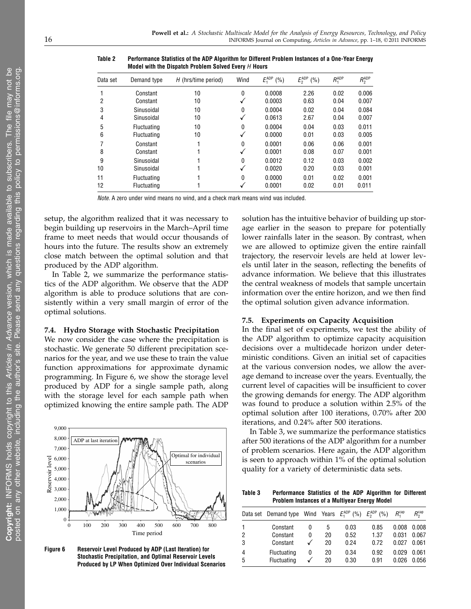| Data set | Demand type        | $H$ (hrs/time period) | Wind     | $E_1^{\text{ADP}}$<br>(% ) | $E_2^{\text{ADP}}$<br>(%) | $R_{4}^{ADP}$ | $R_2^{\text{ADP}}$ |
|----------|--------------------|-----------------------|----------|----------------------------|---------------------------|---------------|--------------------|
|          | Constant           | 10                    | 0        | 0.0008                     | 2.26                      | 0.02          | 0.006              |
| 2        | Constant           | 10                    |          | 0.0003                     | 0.63                      | 0.04          | 0.007              |
| 3        | Sinusoidal         | 10                    | $\Omega$ | 0.0004                     | 0.02                      | 0.04          | 0.084              |
| 4        | Sinusoidal         | 10                    |          | 0.0613                     | 2.67                      | 0.04          | 0.007              |
| 5        | <b>Fluctuating</b> | 10                    | 0        | 0.0004                     | 0.04                      | 0.03          | 0.011              |
| 6        | <b>Fluctuating</b> | 10                    |          | 0.0000                     | 0.01                      | 0.03          | 0.005              |
|          | Constant           |                       | 0        | 0.0001                     | 0.06                      | 0.06          | 0.001              |
| 8        | Constant           |                       |          | 0.0001                     | 0.08                      | 0.07          | 0.001              |
| 9        | Sinusoidal         |                       | 0        | 0.0012                     | 0.12                      | 0.03          | 0.002              |
| 10       | Sinusoidal         |                       |          | 0.0020                     | 0.20                      | 0.03          | 0.001              |
| 11       | <b>Fluctuating</b> |                       | 0        | 0.0000                     | 0.01                      | 0.02          | 0.001              |
| 12       | <b>Fluctuating</b> |                       |          | 0.0001                     | 0.02                      | 0.01          | 0.011              |

Table 2 Performance Statistics of the ADP Algorithm for Different Problem Instances of a One-Year Energy Model with the Dispatch Problem Solved Every  $H$  Hours

Note. A zero under wind means no wind, and a check mark means wind was included.

setup, the algorithm realized that it was necessary to begin building up reservoirs in the March–April time frame to meet needs that would occur thousands of hours into the future. The results show an extremely close match between the optimal solution and that produced by the ADP algorithm.

In Table 2, we summarize the performance statistics of the ADP algorithm. We observe that the ADP algorithm is able to produce solutions that are consistently within a very small margin of error of the optimal solutions.

#### 7.4. Hydro Storage with Stochastic Precipitation

We now consider the case where the precipitation is stochastic. We generate 50 different precipitation scenarios for the year, and we use these to train the value function approximations for approximate dynamic programming. In Figure 6, we show the storage level produced by ADP for a single sample path, along with the storage level for each sample path when optimized knowing the entire sample path. The ADP



Figure 6 Reservoir Level Produced by ADP (Last Iteration) for Stochastic Precipitation, and Optimal Reservoir Levels Produced by LP When Optimized Over Individual Scenarios

solution has the intuitive behavior of building up storage earlier in the season to prepare for potentially lower rainfalls later in the season. By contrast, when we are allowed to optimize given the entire rainfall trajectory, the reservoir levels are held at lower levels until later in the season, reflecting the benefits of advance information. We believe that this illustrates the central weakness of models that sample uncertain information over the entire horizon, and we then find the optimal solution given advance information.

#### 7.5. Experiments on Capacity Acquisition

In the final set of experiments, we test the ability of the ADP algorithm to optimize capacity acquisition decisions over a multidecade horizon under deterministic conditions. Given an initial set of capacities at the various conversion nodes, we allow the average demand to increase over the years. Eventually, the current level of capacities will be insufficient to cover the growing demands for energy. The ADP algorithm was found to produce a solution within 2.5% of the optimal solution after 100 iterations, 0.70% after 200 iterations, and 0.24% after 500 iterations.

In Table 3, we summarize the performance statistics after 500 iterations of the ADP algorithm for a number of problem scenarios. Here again, the ADP algorithm is seen to approach within 1% of the optimal solution quality for a variety of deterministic data sets.

Table 3 Performance Statistics of the ADP Algorithm for Different Problem Instances of a Multiyear Energy Model

|               | Data set Demand type Wind Years $E_1^{\text{ADP}}$ (%) $E_2^{\text{ADP}}$ (%) |   |    |      |      | $R^{\text{cap}}$ | $R_{\rm o}^{\rm cap}$ |
|---------------|-------------------------------------------------------------------------------|---|----|------|------|------------------|-----------------------|
|               | Constant                                                                      | 0 | ٠h | 0.03 | 0.85 | 0.008            | 0.008                 |
| $\mathcal{P}$ | Constant                                                                      | 0 | 20 | 0.52 | 1.37 | 0.031            | 0.067                 |
| 3             | Constant                                                                      |   | 20 | 0.24 | 0.72 | 0.027            | 0.061                 |
| 4             | Fluctuating                                                                   | 0 | 20 | 0.34 | 0.92 | 0.029            | 0.061                 |
| 5             | <b>Fluctuating</b>                                                            | √ | 20 | 0.30 | 0.91 | 0.026            | 0.056                 |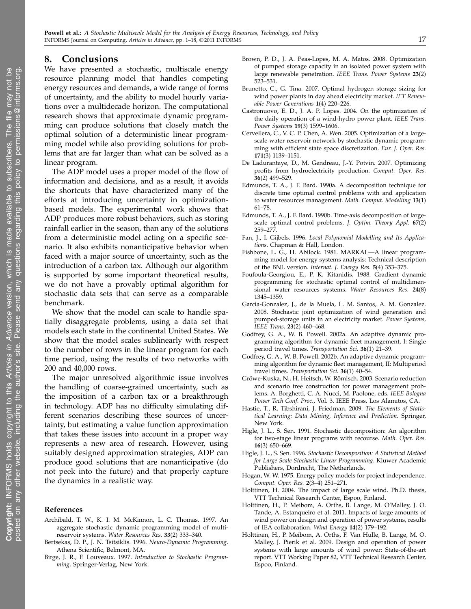# 8. Conclusions

We have presented a stochastic, multiscale energy resource planning model that handles competing energy resources and demands, a wide range of forms of uncertainty, and the ability to model hourly variations over a multidecade horizon. The computational research shows that approximate dynamic programming can produce solutions that closely match the optimal solution of a deterministic linear programming model while also providing solutions for problems that are far larger than what can be solved as a linear program.

The ADP model uses a proper model of the flow of information and decisions, and as a result, it avoids the shortcuts that have characterized many of the efforts at introducing uncertainty in optimizationbased models. The experimental work shows that ADP produces more robust behaviors, such as storing rainfall earlier in the season, than any of the solutions from a deterministic model acting on a specific scenario. It also exhibits nonanticipative behavior when faced with a major source of uncertainty, such as the introduction of a carbon tax. Although our algorithm is supported by some important theoretical results, we do not have a provably optimal algorithm for stochastic data sets that can serve as a comparable benchmark.

We show that the model can scale to handle spatially disaggregate problems, using a data set that models each state in the continental United States. We show that the model scales sublinearly with respect to the number of rows in the linear program for each time period, using the results of two networks with 200 and 40,000 rows.

The major unresolved algorithmic issue involves the handling of coarse-grained uncertainty, such as the imposition of a carbon tax or a breakthrough in technology. ADP has no difficulty simulating different scenarios describing these sources of uncertainty, but estimating a value function approximation that takes these issues into account in a proper way represents a new area of research. However, using suitably designed approximation strategies, ADP can produce good solutions that are nonanticipative (do not peek into the future) and that properly capture the dynamics in a realistic way.

#### References

- Archibald, T. W., K. I. M. McKinnon, L. C. Thomas. 1997. An aggregate stochastic dynamic programming model of multireservoir systems. Water Resources Res. 33(2) 333–340.
- Bertsekas, D. P., J. N. Tsitsiklis. 1996. Neuro-Dynamic Programming. Athena Scientific, Belmont, MA.
- Birge, J. R., F. Louveaux. 1997. Introduction to Stochastic Programming. Springer-Verlag, New York.
- Brown, P. D., J. A. Peas-Lopes, M. A. Matos. 2008. Optimization of pumped storage capacity in an isolated power system with large renewable penetration. IEEE Trans. Power Systems 23(2) 523–531.
- Brunetto, C., G. Tina. 2007. Optimal hydrogen storage sizing for wind power plants in day ahead electricity market. IET Renewable Power Generations 1(4) 220–226.
- Castronuovo, E. D., J. A. P. Lopes. 2004. On the optimization of the daily operation of a wind-hydro power plant. IEEE Trans. Power Systems 19(3) 1599–1606.
- Cervellera, C., V. C. P. Chen, A. Wen. 2005. Optimization of a largescale water reservoir network by stochastic dynamic programming with efficient state space discretization. Eur. J. Oper. Res. 171(3) 1139–1151.
- De Ladurantaye, D., M. Gendreau, J.-Y. Potvin. 2007. Optimizing profits from hydroelectricity production. Comput. Oper. Res. 36(2) 499–529.
- Edmunds, T. A., J. F. Bard. 1990a. A decomposition technique for discrete time optimal control problems with and application to water resources management. Math. Comput. Modelling 13(1) 61–78.
- Edmunds, T. A., J. F. Bard. 1990b. Time-axis decomposition of largescale optimal control problems. J. Optim. Theory Appl. 67(2) 259–277.
- Fan, J., I. Gijbels. 1996. Local Polynomial Modelling and Its Applications. Chapman & Hall, London.
- Fishbone, L. G., H. Abilock. 1981. MARKAL—A linear programming model for energy systems analysis: Technical description of the BNL version. Internat. J. Energy Res. 5(4) 353–375.
- Foufoula-Georgiou, E., P. K. Kitanidis. 1988. Gradient dynamic programming for stochastic optimal control of multidimensional water resources systems. Water Resources Res. 24(8) 1345–1359.
- Garcia-Gonzalez, J., de la Muela, L. M. Santos, A. M. Gonzalez. 2008. Stochastic joint optimization of wind generation and pumped-storage units in an electricity market. Power Systems, IEEE Trans. 23(2) 460–468.
- Godfrey, G. A., W. B. Powell. 2002a. An adaptive dynamic programming algorithm for dynamic fleet management, I: Single period travel times. Transportation Sci. 36(1) 21–39.
- Godfrey, G. A., W. B. Powell. 2002b. An adaptive dynamic programming algorithm for dynamic fleet management, II: Multiperiod travel times. Transportation Sci. 36(1) 40–54.
- Gröwe-Kuska, N., H. Heitsch, W. Römisch. 2003. Scenario reduction and scenario tree construction for power management problems. A. Borghetti, C. A. Nucci, M. Paolone, eds. IEEE Bologna Power Tech Conf. Proc., Vol. 3. IEEE Press, Los Alamitos, CA.
- Hastie, T., R. Tibshirani, J. Friedman. 2009. The Elements of Statistical Learning: Data Mining, Inference and Prediction. Springer, New York.
- Higle, J. L., S. Sen. 1991. Stochastic decomposition: An algorithm for two-stage linear programs with recourse. Math. Oper. Res. 16(3) 650–669.
- Higle, J. L., S. Sen. 1996. Stochastic Decomposition: A Statistical Method for Large Scale Stochastic Linear Programming. Kluwer Academic Publishers, Dordrecht, The Netherlands.
- Hogan, W. W. 1975. Energy policy models for project independence. Comput. Oper. Res. 2(3–4) 251–271.
- Holttinen, H. 2004. The impact of large scale wind. Ph.D. thesis, VTT Technical Research Center, Espoo, Finland.
- Holttinen, H., P. Meibom, A. Orths, B. Lange, M. O'Malley, J. O. Tande, A. Estanqueiro et al. 2011. Impacts of large amounts of wind power on design and operation of power systems, results of IEA collaboration. Wind Energy 14(2) 179–192.
- Holttinen, H., P. Meibom, A. Orths, F. Van Hulle, B. Lange, M. O. Malley, J. Pierik et al. 2009. Design and operation of power systems with large amounts of wind power: State-of-the-art report. VTT Working Paper 82, VTT Technical Research Center, Espoo, Finland.